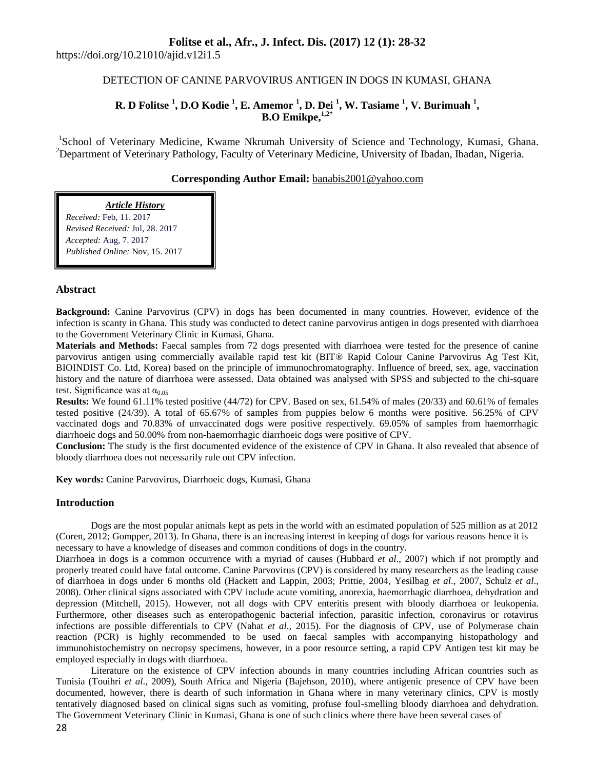## **Folitse et al., Afr., J. Infect. Dis. (2017) 12 (1): 28-32**

https://doi.org/10.21010/ajid.v12i1.5

## DETECTION OF CANINE PARVOVIRUS ANTIGEN IN DOGS IN KUMASI, GHANA

## **R. D Folitse <sup>1</sup> , D.O Kodie <sup>1</sup> , E. Amemor <sup>1</sup> , D. Dei <sup>1</sup> , W. Tasiame <sup>1</sup> , V. Burimuah <sup>1</sup> , B.O Emikpe, 1,2\***

<sup>1</sup>School of Veterinary Medicine, Kwame Nkrumah University of Science and Technology, Kumasi, Ghana. <sup>2</sup>Department of Veterinary Pathology, Faculty of Veterinary Medicine, University of Ibadan, Ibadan, Nigeria.

### **Corresponding Author Email:** [banabis2001@yahoo.com](mailto:banabis2001@yahoo.com)

# *Article History*

*Received:* Feb, 11. 2017 *Revised Received:* Jul, 28. 2017 *Accepted:* Aug, 7. 2017 *Published Online:* Nov, 15. 2017

### **Abstract**

**Background:** Canine Parvovirus (CPV) in dogs has been documented in many countries. However, evidence of the infection is scanty in Ghana. This study was conducted to detect canine parvovirus antigen in dogs presented with diarrhoea to the Government Veterinary Clinic in Kumasi, Ghana.

**Materials and Methods:** Faecal samples from 72 dogs presented with diarrhoea were tested for the presence of canine parvovirus antigen using commercially available rapid test kit (BIT® Rapid Colour Canine Parvovirus Ag Test Kit, BIOINDIST Co. Ltd, Korea) based on the principle of immunochromatography. Influence of breed, sex, age, vaccination history and the nature of diarrhoea were assessed. Data obtained was analysed with SPSS and subjected to the chi-square test. Significance was at  $\alpha_{0.05}$ 

**Results:** We found 61.11% tested positive (44/72) for CPV. Based on sex, 61.54% of males (20/33) and 60.61% of females tested positive (24/39). A total of 65.67% of samples from puppies below 6 months were positive. 56.25% of CPV vaccinated dogs and 70.83% of unvaccinated dogs were positive respectively. 69.05% of samples from haemorrhagic diarrhoeic dogs and 50.00% from non-haemorrhagic diarrhoeic dogs were positive of CPV.

**Conclusion:** The study is the first documented evidence of the existence of CPV in Ghana. It also revealed that absence of bloody diarrhoea does not necessarily rule out CPV infection.

**Key words:** Canine Parvovirus, Diarrhoeic dogs, Kumasi, Ghana

#### **Introduction**

Dogs are the most popular animals kept as pets in the world with an estimated population of 525 million as at 2012 (Coren, 2012; Gompper, 2013). In Ghana, there is an increasing interest in keeping of dogs for various reasons hence it is necessary to have a knowledge of diseases and common conditions of dogs in the country.

Diarrhoea in dogs is a common occurrence with a myriad of causes (Hubbard *et al*., 2007) which if not promptly and properly treated could have fatal outcome. Canine Parvovirus (CPV) is considered by many researchers as the leading cause of diarrhoea in dogs under 6 months old (Hackett and Lappin, 2003; Prittie, 2004, Yesilbag *et al*., 2007, Schulz *et al*., 2008). Other clinical signs associated with CPV include acute vomiting, anorexia, haemorrhagic diarrhoea, dehydration and depression (Mitchell, 2015). However, not all dogs with CPV enteritis present with bloody diarrhoea or leukopenia. Furthermore, other diseases such as enteropathogenic bacterial infection, parasitic infection, coronavirus or rotavirus infections are possible differentials to CPV (Nahat *et al*., 2015). For the diagnosis of CPV, use of Polymerase chain reaction (PCR) is highly recommended to be used on faecal samples with accompanying histopathology and immunohistochemistry on necropsy specimens, however, in a poor resource setting, a rapid CPV Antigen test kit may be employed especially in dogs with diarrhoea.

Literature on the existence of CPV infection abounds in many countries including African countries such as Tunisia (Touihri *et al*., 2009), South Africa and Nigeria (Bajehson, 2010), where antigenic presence of CPV have been documented, however, there is dearth of such information in Ghana where in many veterinary clinics, CPV is mostly tentatively diagnosed based on clinical signs such as vomiting, profuse foul-smelling bloody diarrhoea and dehydration. The Government Veterinary Clinic in Kumasi, Ghana is one of such clinics where there have been several cases of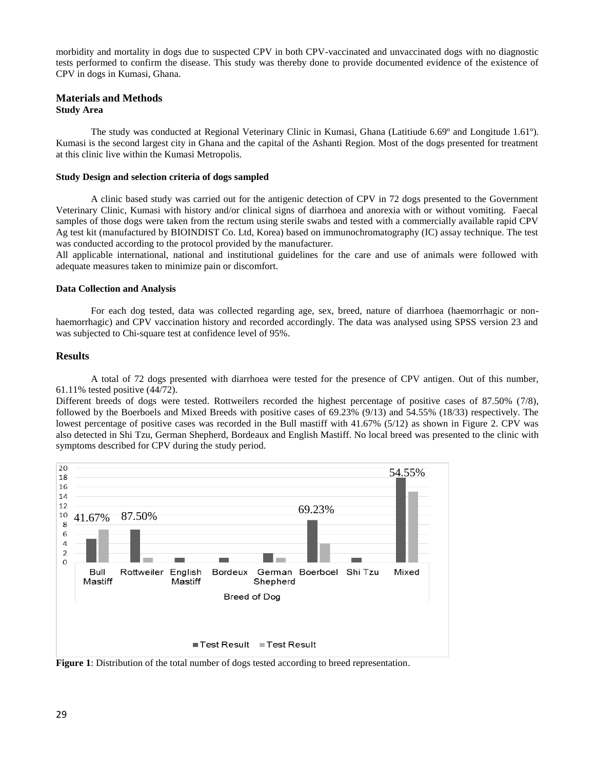morbidity and mortality in dogs due to suspected CPV in both CPV-vaccinated and unvaccinated dogs with no diagnostic tests performed to confirm the disease. This study was thereby done to provide documented evidence of the existence of CPV in dogs in Kumasi, Ghana.

#### **Materials and Methods Study Area**

The study was conducted at Regional Veterinary Clinic in Kumasi, Ghana (Latitiude 6.69º and Longitude 1.61º). Kumasi is the second largest city in Ghana and the capital of the Ashanti Region. Most of the dogs presented for treatment at this clinic live within the Kumasi Metropolis.

#### **Study Design and selection criteria of dogs sampled**

A clinic based study was carried out for the antigenic detection of CPV in 72 dogs presented to the Government Veterinary Clinic, Kumasi with history and/or clinical signs of diarrhoea and anorexia with or without vomiting. Faecal samples of those dogs were taken from the rectum using sterile swabs and tested with a commercially available rapid CPV Ag test kit (manufactured by BIOINDIST Co. Ltd, Korea) based on immunochromatography (IC) assay technique. The test was conducted according to the protocol provided by the manufacturer.

All applicable international, national and institutional guidelines for the care and use of animals were followed with adequate measures taken to minimize pain or discomfort.

#### **Data Collection and Analysis**

For each dog tested, data was collected regarding age, sex, breed, nature of diarrhoea (haemorrhagic or nonhaemorrhagic) and CPV vaccination history and recorded accordingly. The data was analysed using SPSS version 23 and was subjected to Chi-square test at confidence level of 95%.

#### **Results**

A total of 72 dogs presented with diarrhoea were tested for the presence of CPV antigen. Out of this number, 61.11% tested positive (44/72).

Different breeds of dogs were tested. Rottweilers recorded the highest percentage of positive cases of 87.50% (7/8), followed by the Boerboels and Mixed Breeds with positive cases of 69.23% (9/13) and 54.55% (18/33) respectively. The lowest percentage of positive cases was recorded in the Bull mastiff with 41.67% (5/12) as shown in Figure 2. CPV was also detected in Shi Tzu, German Shepherd, Bordeaux and English Mastiff. No local breed was presented to the clinic with symptoms described for CPV during the study period.



**Figure 1**: Distribution of the total number of dogs tested according to breed representation.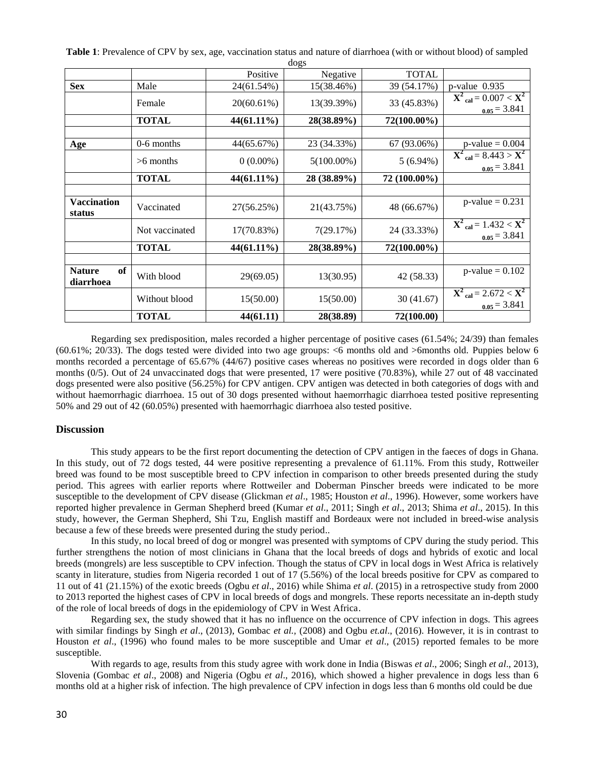| uogs                             |                |             |               |              |                                                                        |
|----------------------------------|----------------|-------------|---------------|--------------|------------------------------------------------------------------------|
|                                  |                | Positive    | Negative      | <b>TOTAL</b> |                                                                        |
| <b>Sex</b>                       | Male           | 24(61.54%)  | 15(38.46%)    | 39 (54.17%)  | $p$ -value 0.935                                                       |
|                                  | Female         | 20(60.61%)  | 13(39.39%)    | 33 (45.83%)  | $X^{2}_{cal} = 0.007 < X^{2}$<br>$_{0.05} = 3.841$                     |
|                                  | <b>TOTAL</b>   | 44(61.11%)  | 28(38.89%)    | 72(100.00%)  |                                                                        |
|                                  |                |             |               |              |                                                                        |
| Age                              | 0-6 months     | 44(65.67%)  | 23 (34.33%)   | 67 (93.06%)  | $p$ -value = 0.004                                                     |
|                                  | $>6$ months    | $0(0.00\%)$ | $5(100.00\%)$ | $5(6.94\%)$  | $\overline{X^2_{cal}} = 8.443 > X^2$<br>$0.05 = 3.841$                 |
|                                  | <b>TOTAL</b>   | 44(61.11%)  | 28 (38.89%)   | 72 (100.00%) |                                                                        |
|                                  |                |             |               |              |                                                                        |
| Vaccination<br>status            | Vaccinated     | 27(56.25%)  | 21(43.75%)    | 48 (66.67%)  | $p$ -value = 0.231                                                     |
|                                  | Not vaccinated | 17(70.83%)  | 7(29.17%)     | 24 (33.33%)  | $X^{2}$ <sub>cal</sub> = 1.432 $\overline{X^{2}}$<br>$_{0.05} = 3.841$ |
|                                  | <b>TOTAL</b>   | 44(61.11%)  | 28(38.89%)    | 72(100.00%)  |                                                                        |
|                                  |                |             |               |              |                                                                        |
| of<br><b>Nature</b><br>diarrhoea | With blood     | 29(69.05)   | 13(30.95)     | 42 (58.33)   | $p$ -value = 0.102                                                     |
|                                  | Without blood  | 15(50.00)   | 15(50.00)     | 30(41.67)    | $X^{2}$ <sub>cal</sub> = 2.672 < $X^{2}$<br>$_{0.05} = 3.841$          |
|                                  | <b>TOTAL</b>   | 44(61.11)   | 28(38.89)     | 72(100.00)   |                                                                        |

**Table 1**: Prevalence of CPV by sex, age, vaccination status and nature of diarrhoea (with or without blood) of sampled dogs

Regarding sex predisposition, males recorded a higher percentage of positive cases (61.54%; 24/39) than females (60.61%; 20/33). The dogs tested were divided into two age groups: <6 months old and >6months old. Puppies below 6 months recorded a percentage of 65.67% (44/67) positive cases whereas no positives were recorded in dogs older than 6 months (0/5). Out of 24 unvaccinated dogs that were presented, 17 were positive (70.83%), while 27 out of 48 vaccinated dogs presented were also positive (56.25%) for CPV antigen. CPV antigen was detected in both categories of dogs with and without haemorrhagic diarrhoea. 15 out of 30 dogs presented without haemorrhagic diarrhoea tested positive representing 50% and 29 out of 42 (60.05%) presented with haemorrhagic diarrhoea also tested positive.

#### **Discussion**

This study appears to be the first report documenting the detection of CPV antigen in the faeces of dogs in Ghana. In this study, out of 72 dogs tested, 44 were positive representing a prevalence of 61.11%. From this study, Rottweiler breed was found to be most susceptible breed to CPV infection in comparison to other breeds presented during the study period. This agrees with earlier reports where Rottweiler and Doberman Pinscher breeds were indicated to be more susceptible to the development of CPV disease (Glickman *et al*., 1985; Houston *et al*., 1996). However, some workers have reported higher prevalence in German Shepherd breed (Kumar *et al*., 2011; Singh *et al*., 2013; Shima *et al*., 2015). In this study, however, the German Shepherd, Shi Tzu, English mastiff and Bordeaux were not included in breed-wise analysis because a few of these breeds were presented during the study period..

In this study, no local breed of dog or mongrel was presented with symptoms of CPV during the study period. This further strengthens the notion of most clinicians in Ghana that the local breeds of dogs and hybrids of exotic and local breeds (mongrels) are less susceptible to CPV infection. Though the status of CPV in local dogs in West Africa is relatively scanty in literature, studies from Nigeria recorded 1 out of 17 (5.56%) of the local breeds positive for CPV as compared to 11 out of 41 (21.15%) of the exotic breeds (Ogbu *et al*., 2016) while Shima *et al*. (2015) in a retrospective study from 2000 to 2013 reported the highest cases of CPV in local breeds of dogs and mongrels. These reports necessitate an in-depth study of the role of local breeds of dogs in the epidemiology of CPV in West Africa.

Regarding sex, the study showed that it has no influence on the occurrence of CPV infection in dogs. This agrees with similar findings by Singh *et al*., (2013), Gombac *et al.,* (2008) and Ogbu *et.al*., (2016). However, it is in contrast to Houston *et al*., (1996) who found males to be more susceptible and Umar *et al*., (2015) reported females to be more susceptible.

With regards to age, results from this study agree with work done in India (Biswas *et al*., 2006; Singh *et al*., 2013), Slovenia (Gombac *et al*., 2008) and Nigeria (Ogbu *et al*., 2016), which showed a higher prevalence in dogs less than 6 months old at a higher risk of infection. The high prevalence of CPV infection in dogs less than 6 months old could be due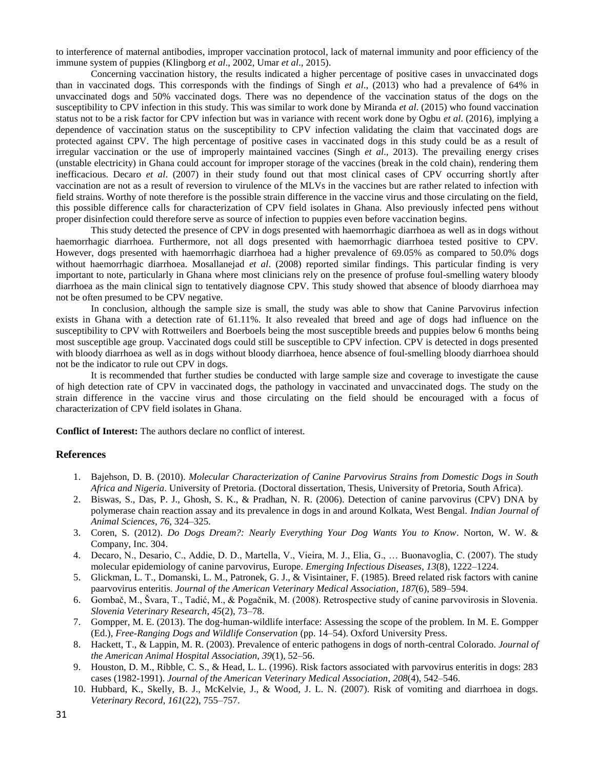to interference of maternal antibodies, improper vaccination protocol, lack of maternal immunity and poor efficiency of the immune system of puppies (Klingborg *et al*., 2002, Umar *et al*., 2015).

Concerning vaccination history, the results indicated a higher percentage of positive cases in unvaccinated dogs than in vaccinated dogs. This corresponds with the findings of Singh *et al*., (2013) who had a prevalence of 64% in unvaccinated dogs and 50% vaccinated dogs. There was no dependence of the vaccination status of the dogs on the susceptibility to CPV infection in this study. This was similar to work done by Miranda *et al*. (2015) who found vaccination status not to be a risk factor for CPV infection but was in variance with recent work done by Ogbu *et al*. (2016), implying a dependence of vaccination status on the susceptibility to CPV infection validating the claim that vaccinated dogs are protected against CPV. The high percentage of positive cases in vaccinated dogs in this study could be as a result of irregular vaccination or the use of improperly maintained vaccines (Singh *et al*., 2013). The prevailing energy crises (unstable electricity) in Ghana could account for improper storage of the vaccines (break in the cold chain), rendering them inefficacious. Decaro *et al*. (2007) in their study found out that most clinical cases of CPV occurring shortly after vaccination are not as a result of reversion to virulence of the MLVs in the vaccines but are rather related to infection with field strains. Worthy of note therefore is the possible strain difference in the vaccine virus and those circulating on the field, this possible difference calls for characterization of CPV field isolates in Ghana. Also previously infected pens without proper disinfection could therefore serve as source of infection to puppies even before vaccination begins.

This study detected the presence of CPV in dogs presented with haemorrhagic diarrhoea as well as in dogs without haemorrhagic diarrhoea. Furthermore, not all dogs presented with haemorrhagic diarrhoea tested positive to CPV. However, dogs presented with haemorrhagic diarrhoea had a higher prevalence of 69.05% as compared to 50.0% dogs without haemorrhagic diarrhoea. Mosallanejad *et al*. (2008) reported similar findings. This particular finding is very important to note, particularly in Ghana where most clinicians rely on the presence of profuse foul-smelling watery bloody diarrhoea as the main clinical sign to tentatively diagnose CPV. This study showed that absence of bloody diarrhoea may not be often presumed to be CPV negative.

In conclusion, although the sample size is small, the study was able to show that Canine Parvovirus infection exists in Ghana with a detection rate of 61.11%. It also revealed that breed and age of dogs had influence on the susceptibility to CPV with Rottweilers and Boerboels being the most susceptible breeds and puppies below 6 months being most susceptible age group. Vaccinated dogs could still be susceptible to CPV infection. CPV is detected in dogs presented with bloody diarrhoea as well as in dogs without bloody diarrhoea, hence absence of foul-smelling bloody diarrhoea should not be the indicator to rule out CPV in dogs.

It is recommended that further studies be conducted with large sample size and coverage to investigate the cause of high detection rate of CPV in vaccinated dogs, the pathology in vaccinated and unvaccinated dogs. The study on the strain difference in the vaccine virus and those circulating on the field should be encouraged with a focus of characterization of CPV field isolates in Ghana.

**Conflict of Interest:** The authors declare no conflict of interest.

#### **References**

- 1. Bajehson, D. B. (2010). *Molecular Characterization of Canine Parvovirus Strains from Domestic Dogs in South Africa and Nigeria*. University of Pretoria. (Doctoral dissertation, Thesis, University of Pretoria, South Africa).
- 2. Biswas, S., Das, P. J., Ghosh, S. K., & Pradhan, N. R. (2006). Detection of canine parvovirus (CPV) DNA by polymerase chain reaction assay and its prevalence in dogs in and around Kolkata, West Bengal. *Indian Journal of Animal Sciences*, *76*, 324–325.
- 3. Coren, S. (2012). *Do Dogs Dream?: Nearly Everything Your Dog Wants You to Know*. Norton, W. W. & Company, Inc. 304.
- 4. Decaro, N., Desario, C., Addie, D. D., Martella, V., Vieira, M. J., Elia, G., … Buonavoglia, C. (2007). The study molecular epidemiology of canine parvovirus, Europe. *Emerging Infectious Diseases*, *13*(8), 1222–1224.
- 5. Glickman, L. T., Domanski, L. M., Patronek, G. J., & Visintainer, F. (1985). Breed related risk factors with canine paarvovirus enteritis. *Journal of the American Veterinary Medical Association*, *187*(6), 589–594.
- 6. Gombač, M., Švara, T., Tadić, M., & Pogačnik, M. (2008). Retrospective study of canine parvovirosis in Slovenia. *Slovenia Veterinary Research*, *45*(2), 73–78.
- 7. Gompper, M. E. (2013). The dog-human-wildlife interface: Assessing the scope of the problem. In M. E. Gompper (Ed.), *Free-Ranging Dogs and Wildlife Conservation* (pp. 14–54). Oxford University Press.
- 8. Hackett, T., & Lappin, M. R. (2003). Prevalence of enteric pathogens in dogs of north-central Colorado. *Journal of the American Animal Hospital Association*, *39*(1), 52–56.
- 9. Houston, D. M., Ribble, C. S., & Head, L. L. (1996). Risk factors associated with parvovirus enteritis in dogs: 283 cases (1982-1991). *Journal of the American Veterinary Medical Association*, *208*(4), 542–546.
- 10. Hubbard, K., Skelly, B. J., McKelvie, J., & Wood, J. L. N. (2007). Risk of vomiting and diarrhoea in dogs. *Veterinary Record*, *161*(22), 755–757.